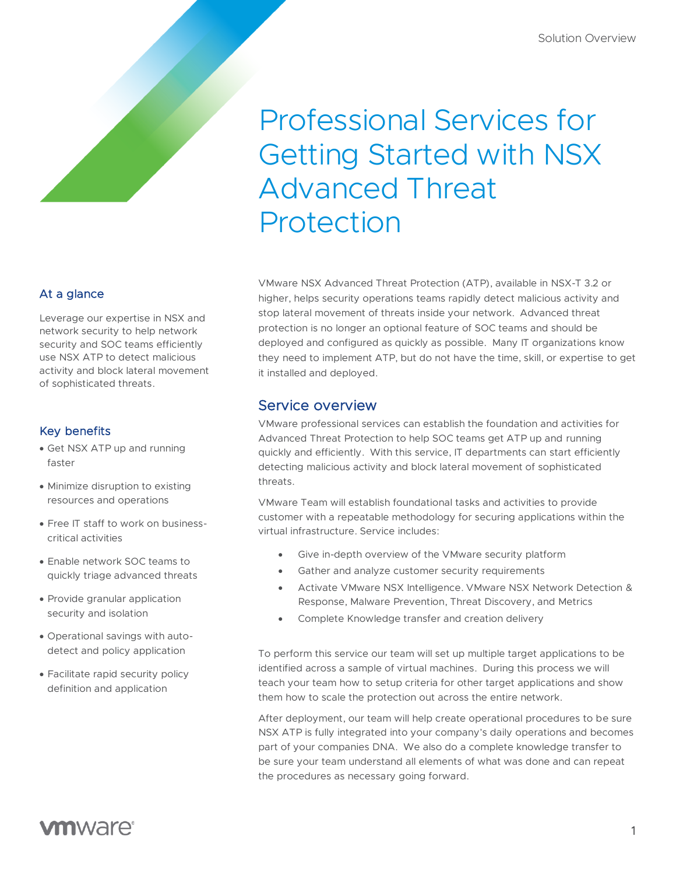# Professional Services for Getting Started with NSX Advanced Threat Protection

VMware NSX Advanced Threat Protection (ATP), available in NSX-T 3.2 or higher, helps security operations teams rapidly detect malicious activity and stop lateral movement of threats inside your network. Advanced threat protection is no longer an optional feature of SOC teams and should be deployed and configured as quickly as possible. Many IT organizations know they need to implement ATP, but do not have the time, skill, or expertise to get it installed and deployed.

## Service overview

VMware professional services can establish the foundation and activities for Advanced Threat Protection to help SOC teams get ATP up and running quickly and efficiently. With this service, IT departments can start efficiently detecting malicious activity and block lateral movement of sophisticated threats.

VMware Team will establish foundational tasks and activities to provide customer with a repeatable methodology for securing applications within the virtual infrastructure. Service includes:

- Give in-depth overview of the VMware security platform
- Gather and analyze customer security requirements
- Activate VMware NSX Intelligence. VMware NSX Network Detection & Response, Malware Prevention, Threat Discovery, and Metrics
- Complete Knowledge transfer and creation delivery

To perform this service our team will set up multiple target applications to be identified across a sample of virtual machines. During this process we will teach your team how to setup criteria for other target applications and show them how to scale the protection out across the entire network.

After deployment, our team will help create operational procedures to be sure NSX ATP is fully integrated into your company's daily operations and becomes part of your companies DNA. We also do a complete knowledge transfer to be sure your team understand all elements of what was done and can repeat the procedures as necessary going forward.

## At a glance

Leverage our expertise in NSX and network security to help network security and SOC teams efficiently use NSX ATP to detect malicious activity and block lateral movement of sophisticated threats.

## Key benefits

- Get NSX ATP up and running faster
- Minimize disruption to existing resources and operations
- Free IT staff to work on businesscritical activities
- Enable network SOC teams to quickly triage advanced threats
- Provide granular application security and isolation
- Operational savings with autodetect and policy application
- Facilitate rapid security policy definition and application